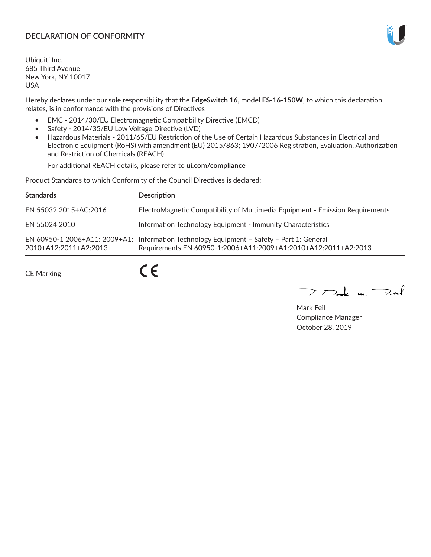# **DECLARATION OF CONFORMITY**

Ubiquiti Inc. 685 Third Avenue New York, NY 10017 USA

Hereby declares under our sole responsibility that the **EdgeSwitch 16**, model **ES-16-150W**, to which this declaration relates, is in conformance with the provisions of Directives

- EMC 2014/30/EU Electromagnetic Compatibility Directive (EMCD)
- Safety 2014/35/EU Low Voltage Directive (LVD)
- Hazardous Materials 2011/65/EU Restriction of the Use of Certain Hazardous Substances in Electrical and Electronic Equipment (RoHS) with amendment (EU) 2015/863; 1907/2006 Registration, Evaluation, Authorization and Restriction of Chemicals (REACH)

For additional REACH details, please refer to **ui.com/compliance**

Product Standards to which Conformity of the Council Directives is declared:

| <b>Standards</b>      | <b>Description</b>                                                                                                                                          |
|-----------------------|-------------------------------------------------------------------------------------------------------------------------------------------------------------|
| EN 55032 2015+AC:2016 | ElectroMagnetic Compatibility of Multimedia Equipment - Emission Requirements                                                                               |
| EN 55024 2010         | Information Technology Equipment - Immunity Characteristics                                                                                                 |
| 2010+A12:2011+A2:2013 | EN 60950-1 2006+A11: 2009+A1: Information Technology Equipment - Safety - Part 1: General<br>Requirements EN 60950-1:2006+A11:2009+A1:2010+A12:2011+A2:2013 |

CE Marking

 $C \in$ 

Mak m. Fail

Mark Feil Compliance Manager October 28, 2019

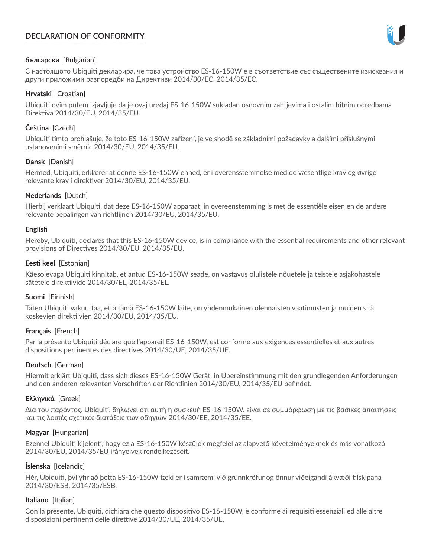# **DECLARATION OF CONFORMITY**



# **български** [Bulgarian]

С настоящото Ubiquiti декларира, че това устройство ES-16-150W е в съответствие със съществените изисквания и други приложими разпоредби на Директиви 2014/30/ЕС, 2014/35/ЕС.

## **Hrvatski** [Croatian]

Ubiquiti ovim putem izjavljuje da je ovaj uređaj ES-16-150W sukladan osnovnim zahtjevima i ostalim bitnim odredbama Direktiva 2014/30/EU, 2014/35/EU.

# **Čeština** [Czech]

Ubiquiti tímto prohlašuje, že toto ES-16-150W zařízení, je ve shodě se základními požadavky a dalšími příslušnými ustanoveními směrnic 2014/30/EU, 2014/35/EU.

# **Dansk** [Danish]

Hermed, Ubiquiti, erklærer at denne ES-16-150W enhed, er i overensstemmelse med de væsentlige krav og øvrige relevante krav i direktiver 2014/30/EU, 2014/35/EU.

# **Nederlands** [Dutch]

Hierbij verklaart Ubiquiti, dat deze ES-16-150W apparaat, in overeenstemming is met de essentiële eisen en de andere relevante bepalingen van richtlijnen 2014/30/EU, 2014/35/EU.

## **English**

Hereby, Ubiquiti, declares that this ES-16-150W device, is in compliance with the essential requirements and other relevant provisions of Directives 2014/30/EU, 2014/35/EU.

# **Eesti keel** [Estonian]

Käesolevaga Ubiquiti kinnitab, et antud ES-16-150W seade, on vastavus olulistele nõuetele ja teistele asjakohastele sätetele direktiivide 2014/30/EL, 2014/35/EL.

## **Suomi** [Finnish]

Täten Ubiquiti vakuuttaa, että tämä ES-16-150W laite, on yhdenmukainen olennaisten vaatimusten ja muiden sitä koskevien direktiivien 2014/30/EU, 2014/35/EU.

## **Français** [French]

Par la présente Ubiquiti déclare que l'appareil ES-16-150W, est conforme aux exigences essentielles et aux autres dispositions pertinentes des directives 2014/30/UE, 2014/35/UE.

## **Deutsch** [German]

Hiermit erklärt Ubiquiti, dass sich dieses ES-16-150W Gerät, in Übereinstimmung mit den grundlegenden Anforderungen und den anderen relevanten Vorschriften der Richtlinien 2014/30/EU, 2014/35/EU befindet.

## **Ελληνικά** [Greek]

Δια του παρόντος, Ubiquiti, δηλώνει ότι αυτή η συσκευή ES-16-150W, είναι σε συμμόρφωση με τις βασικές απαιτήσεις και τις λοιπές σχετικές διατάξεις των οδηγιών 2014/30/EE, 2014/35/EE.

## **Magyar** [Hungarian]

Ezennel Ubiquiti kijelenti, hogy ez a ES-16-150W készülék megfelel az alapvető követelményeknek és más vonatkozó 2014/30/EU, 2014/35/EU irányelvek rendelkezéseit.

## **Íslenska** [Icelandic]

Hér, Ubiquiti, því yfir að þetta ES-16-150W tæki er í samræmi við grunnkröfur og önnur viðeigandi ákvæði tilskipana 2014/30/ESB, 2014/35/ESB.

## **Italiano** [Italian]

Con la presente, Ubiquiti, dichiara che questo dispositivo ES-16-150W, è conforme ai requisiti essenziali ed alle altre disposizioni pertinenti delle direttive 2014/30/UE, 2014/35/UE.